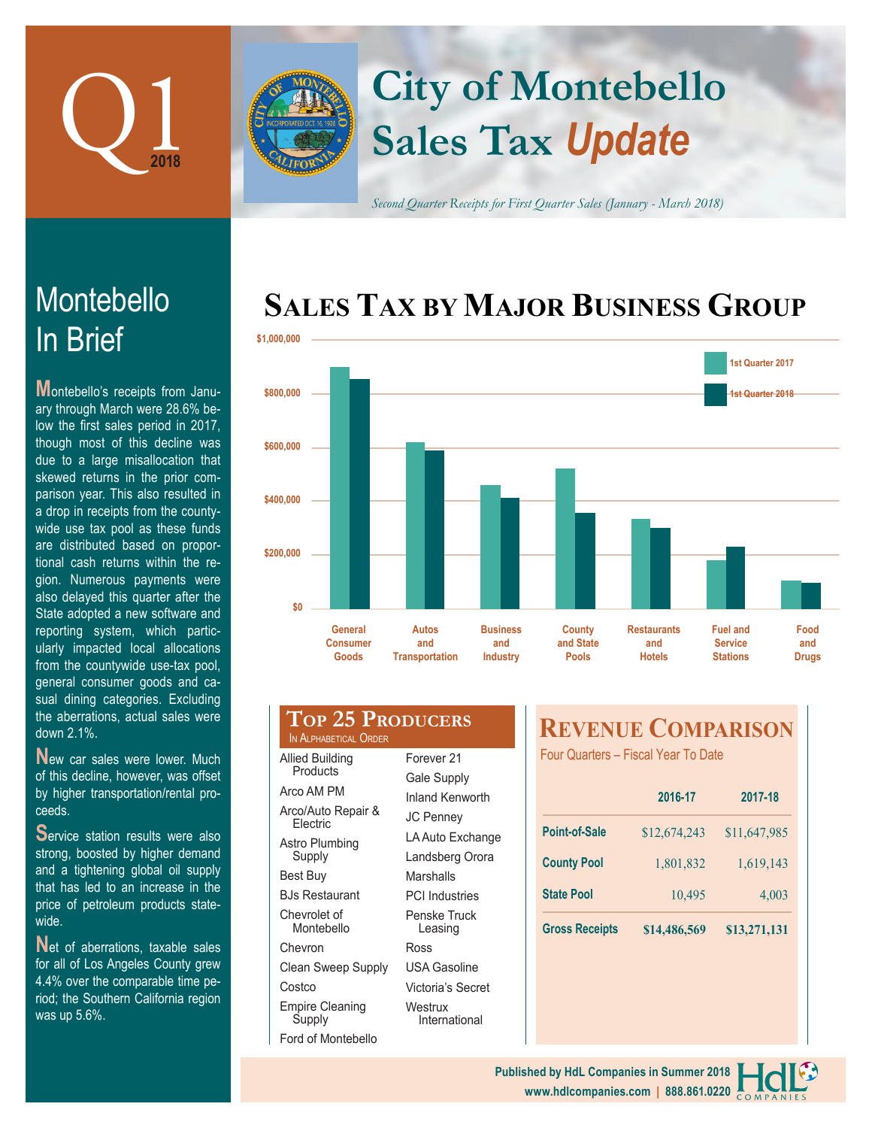

In Brief

Montebello

**M**ontebello's receipts from January through March were 28.6% below the first sales period in 2017, though most of this decline was due to a large misallocation that skewed returns in the prior comparison year. This also resulted in a drop in receipts from the countywide use tax pool as these funds are distributed based on proportional cash returns within the region. Numerous payments

# **Sales Tax** *Update* **City of Montebello**

*Second Quarter Receipts for First Quarter Sales (January - March 2018)*

## **SALES TAX BY MAJOR BUSINESS GROUP**



| gioni namorodo paymonto woro        |  |  |  |  |
|-------------------------------------|--|--|--|--|
| also delayed this quarter after the |  |  |  |  |
| State adopted a new software and    |  |  |  |  |
| reporting system, which partic-     |  |  |  |  |
| ularly impacted local allocations   |  |  |  |  |
| from the countywide use-tax pool,   |  |  |  |  |
| general consumer goods and ca-      |  |  |  |  |
| sual dining categories. Excluding   |  |  |  |  |
| the aberrations, actual sales were  |  |  |  |  |
| down 2.1%.                          |  |  |  |  |
|                                     |  |  |  |  |

**N**ew car sales were lower. Much of this decline, however, was offset by higher transportation/rental proceeds.

**S**ervice station results were also strong, boosted by higher demand and a tightening global oil supply that has led to an increase in the price of petroleum products statewide.

Net of aberrations, taxable sales for all of Los Angeles County grew 4.4% over the comparable time period; the Southern California region was up 5.6%.

| IN ALPHABETICAL ORDER | <b>TOP 25 PRODUCERS</b> |
|-----------------------|-------------------------|
| Allied Building       | Forever 21              |
| <b>Products</b>       | $\sim$ $\sim$ $\sim$    |

Gale Supply Inland Kenworth JC Penney LA Auto Exchange Landsberg Orora **Marshalls** PCI Industries Penske Truck Leasing Ross

USA Gasoline

Arco AM PM Arco/Auto Repair & Electric Astro Plumbing Supply Best Buy BJs Restaurant Chevrolet of Montebello Chevron Clean Sweep Supply **Costco** Empire Cleaning Supply

Ford of Montebello Victoria's Secret **Westrux** International

### **REVENUE COMPARISON**

Four Quarters – Fiscal Year To Date

|                       | 2016-17      | 2017-18      |  |
|-----------------------|--------------|--------------|--|
| <b>Point-of-Sale</b>  | \$12,674,243 | \$11,647,985 |  |
| <b>County Pool</b>    | 1,801,832    | 1,619,143    |  |
| <b>State Pool</b>     | 10,495       | 4,003        |  |
| <b>Gross Receipts</b> | \$14,486,569 | \$13,271,131 |  |

#### **www.hdlcompanies.com | 888.861.0220 Published by HdL Companies in Summer 2018**